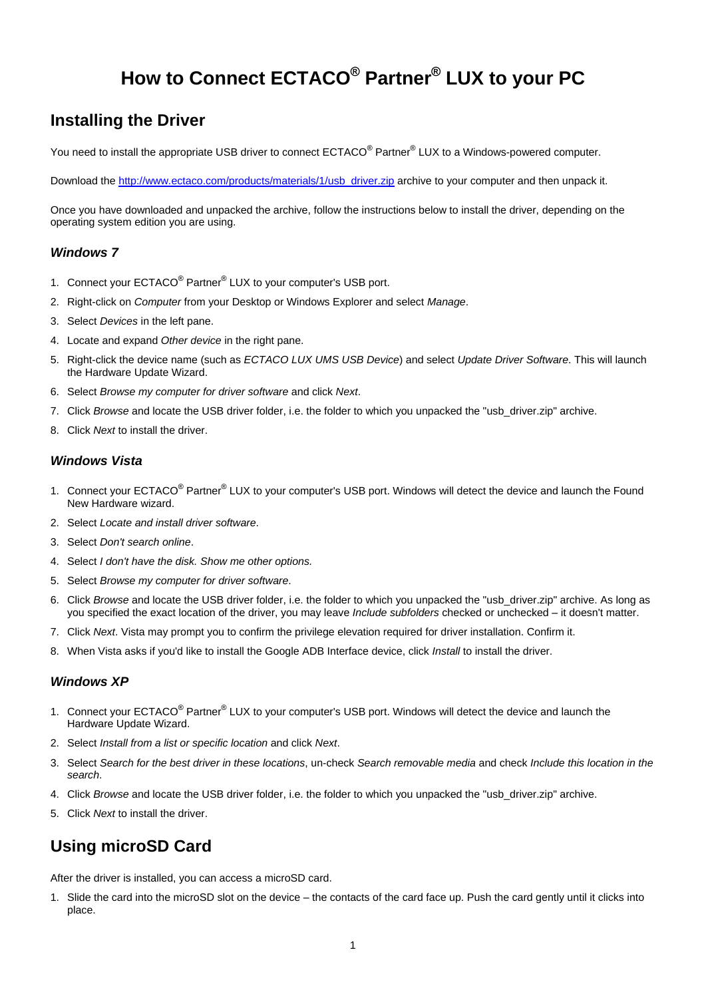# **How to Connect ECTACO® Partner® LUX to your PC**

### **Installing the Driver**

You need to install the appropriate USB driver to connect ECTACO® Partner® LUX to a Windows-powered computer.

Download the [http://www.ectaco.com/products/materials/1/usb\\_driver.zip](http://www.ectaco.com/products/materials/1/usb_driver.zip) archive to your computer and then unpack it.

Once you have downloaded and unpacked the archive, follow the instructions below to install the driver, depending on the operating system edition you are using.

#### *Windows 7*

- 1. Connect your ECTACO<sup>®</sup> Partner<sup>®</sup> LUX to your computer's USB port.
- 2. Right-click on *Computer* from your Desktop or Windows Explorer and select *Manage*.
- 3. Select *Devices* in the left pane.
- 4. Locate and expand *Other device* in the right pane.
- 5. Right-click the device name (such as *ECTACO LUX UMS USB Device*) and select *Update Driver Software*. This will launch the Hardware Update Wizard.
- 6. Select *Browse my computer for driver software* and click *Next*.
- 7. Click *Browse* and locate the USB driver folder, i.e. the folder to which you unpacked the "usb\_driver.zip" archive.
- 8. Click *Next* to install the driver.

#### *Windows Vista*

- 1. Connect your ECTACO<sup>®</sup> Partner<sup>®</sup> LUX to your computer's USB port. Windows will detect the device and launch the Found New Hardware wizard.
- 2. Select *Locate and install driver software*.
- 3. Select *Don't search online*.
- 4. Select *I don't have the disk. Show me other options.*
- 5. Select *Browse my computer for driver software*.
- 6. Click *Browse* and locate the USB driver folder, i.e. the folder to which you unpacked the "usb\_driver.zip" archive. As long as you specified the exact location of the driver, you may leave *Include subfolders* checked or unchecked – it doesn't matter.
- 7. Click *Next*. Vista may prompt you to confirm the privilege elevation required for driver installation. Confirm it.
- 8. When Vista asks if you'd like to install the Google ADB Interface device, click *Install* to install the driver.

#### *Windows XP*

- 1. Connect your ECTACO<sup>®</sup> Partner<sup>®</sup> LUX to your computer's USB port. Windows will detect the device and launch the Hardware Update Wizard.
- 2. Select *Install from a list or specific location* and click *Next*.
- 3. Select *Search for the best driver in these locations*, un-check *Search removable media* and check *Include this location in the search*.
- 4. Click *Browse* and locate the USB driver folder, i.e. the folder to which you unpacked the "usb\_driver.zip" archive.
- 5. Click *Next* to install the driver.

## **Using microSD Card**

After the driver is installed, you can access a microSD card.

1. Slide the card into the microSD slot on the device – the contacts of the card face up. Push the card gently until it clicks into place.